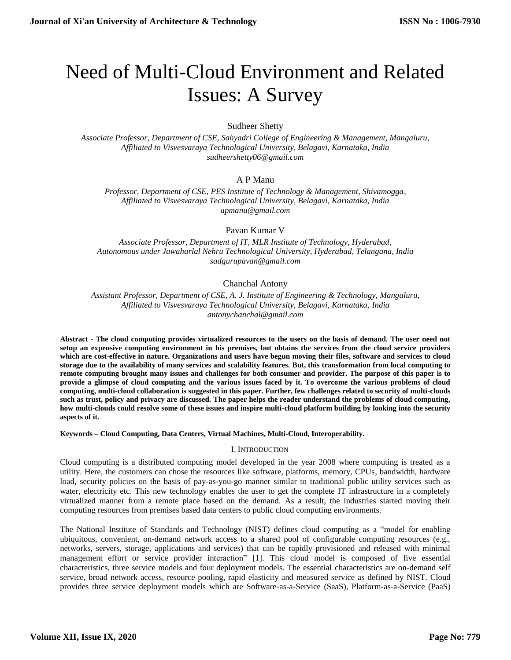# Need of Multi-Cloud Environment and Related Issues: A Survey

Sudheer Shetty

*Associate Professor, Department of CSE, Sahyadri College of Engineering & Management, Mangaluru, Affiliated to Visvesvaraya Technological University, Belagavi, Karnataka, India [sudheershetty06@gmail.com](mailto:sudheershetty06@gmail.com)*

# A P Manu

*Professor, Department of CSE, PES Institute of Technology & Management, Shivamogga, Affiliated to Visvesvaraya Technological University, Belagavi, Karnataka, India [apmanu@gmail.com](mailto:apmanu@gmail.com)*

Pavan Kumar V

*Associate Professor, Department of IT, MLR Institute of Technology, Hyderabad, Autonomous under Jawaharlal Nehru Technological University, Hyderabad, Telangana, India [sadgurupavan@gmail.com](mailto:sadgurupavan@gmail.com)*

# Chanchal Antony

*Assistant Professor, Department of CSE, A. J. Institute of Engineering & Technology, Mangaluru, Affiliated to Visvesvaraya Technological University, Belagavi, Karnataka, India anton[ychanchal@gmail.com](mailto:chanchal@gmail.com)*

**Abstract - The cloud computing provides virtualized resources to the users on the basis of demand. The user need not setup an expensive computing environment in his premises, but obtains the services from the cloud service providers which are cost-effective in nature. Organizations and users have begun moving their files, software and services to cloud storage due to the availability of many services and scalability features. But, this transformation from local computing to remote computing brought many issues and challenges for both consumer and provider. The purpose of this paper is to provide a glimpse of cloud computing and the various issues faced by it. To overcome the various problems of cloud computing, multi-cloud collaboration is suggested in this paper. Further, few challenges related to security of multi-clouds such as trust, policy and privacy are discussed. The paper helps the reader understand the problems of cloud computing, how multi-clouds could resolve some of these issues and inspire multi-cloud platform building by looking into the security aspects of it.**

**Keywords – Cloud Computing, Data Centers, Virtual Machines, Multi-Cloud, Interoperability.**

## I. INTRODUCTION

Cloud computing is a distributed computing model developed in the year 2008 where computing is treated as a utility. Here, the customers can chose the resources like software, platforms, memory, CPUs, bandwidth, hardware load, security policies on the basis of pay-as-you-go manner similar to traditional public utility services such as water, electricity etc. This new technology enables the user to get the complete IT infrastructure in a completely virtualized manner from a remote place based on the demand. As a result, the industries started moving their computing resources from premises based data centers to public cloud computing environments.

The National Institute of Standards and Technology (NIST) defines cloud computing as a "model for enabling ubiquitous, convenient, on-demand network access to a shared pool of configurable computing resources (e.g., networks, servers, storage, applications and services) that can be rapidly provisioned and released with minimal management effort or service provider interaction" [1]. This cloud model is composed of five essential characteristics, three service models and four deployment models. The essential characteristics are on-demand self service, broad network access, resource pooling, rapid elasticity and measured service as defined by NIST. Cloud provides three service deployment models which are Software-as-a-Service (SaaS), Platform-as-a-Service (PaaS)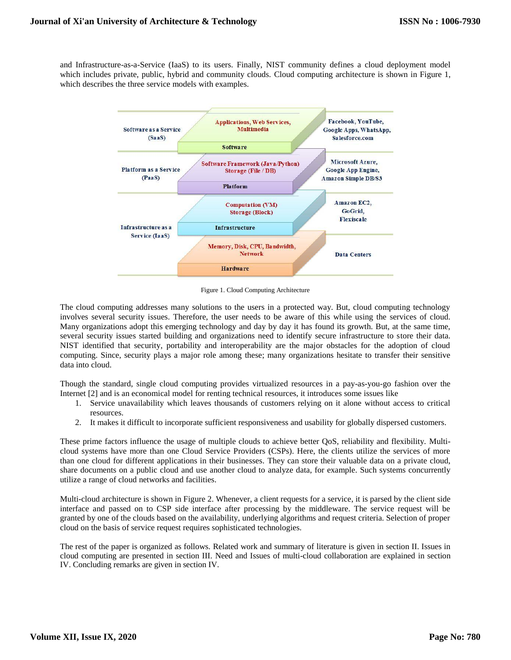and Infrastructure-as-a-Service (IaaS) to its users. Finally, NIST community defines a cloud deployment model which includes private, public, hybrid and community clouds. Cloud computing architecture is shown in Figure 1, which describes the three service models with examples.



Figure 1. Cloud Computing Architecture

The cloud computing addresses many solutions to the users in a protected way. But, cloud computing technology involves several security issues. Therefore, the user needs to be aware of this while using the services of cloud. Many organizations adopt this emerging technology and day by day it has found its growth. But, at the same time, several security issues started building and organizations need to identify secure infrastructure to store their data. NIST identified that security, portability and interoperability are the major obstacles for the adoption of cloud computing. Since, security plays a major role among these; many organizations hesitate to transfer their sensitive data into cloud.

Though the standard, single cloud computing provides virtualized resources in a pay-as-you-go fashion over the Internet [2] and is an economical model for renting technical resources, it introduces some issues like

- 1. Service unavailability which leaves thousands of customers relying on it alone without access to critical resources.
- 2. It makes it difficult to incorporate sufficient responsiveness and usability for globally dispersed customers.

These prime factors influence the usage of multiple clouds to achieve better QoS, reliability and flexibility. Multicloud systems have more than one Cloud Service Providers (CSPs). Here, the clients utilize the services of more than one cloud for different applications in their businesses. They can store their valuable data on a private cloud, share documents on a public cloud and use another cloud to analyze data, for example. Such systems concurrently utilize a range of cloud networks and facilities.

Multi-cloud architecture is shown in Figure 2. Whenever, a client requests for a service, it is parsed by the client side interface and passed on to CSP side interface after processing by the middleware. The service request will be granted by one of the clouds based on the availability, underlying algorithms and request criteria. Selection of proper cloud on the basis of service request requires sophisticated technologies.

The rest of the paper is organized as follows. Related work and summary of literature is given in section II. Issues in cloud computing are presented in section III. Need and Issues of multi-cloud collaboration are explained in section IV. Concluding remarks are given in section IV.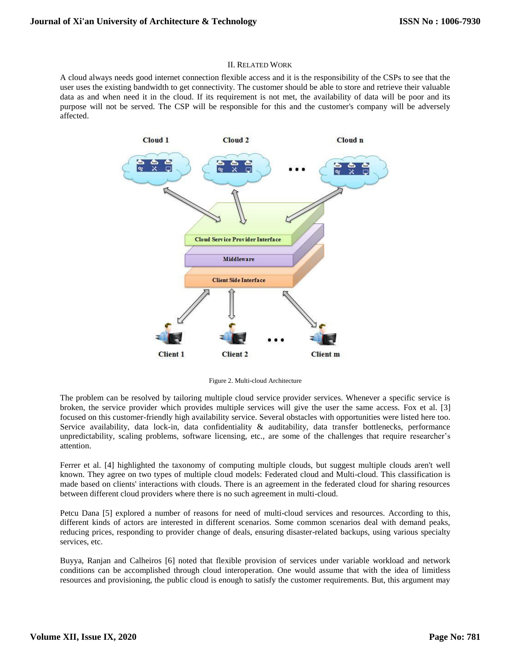## II. RELATED WORK

A cloud always needs good internet connection flexible access and it is the responsibility of the CSPs to see that the user uses the existing bandwidth to get connectivity. The customer should be able to store and retrieve their valuable data as and when need it in the cloud. If its requirement is not met, the availability of data will be poor and its purpose will not be served. The CSP will be responsible for this and the customer's company will be adversely affected.



Figure 2. Multi-cloud Architecture

The problem can be resolved by tailoring multiple cloud service provider services. Whenever a specific service is broken, the service provider which provides multiple services will give the user the same access. Fox et al. [3] focused on this customer-friendly high availability service. Several obstacles with opportunities were listed here too. Service availability, data lock-in, data confidentiality & auditability, data transfer bottlenecks, performance unpredictability, scaling problems, software licensing, etc., are some of the challenges that require researcher's attention.

Ferrer et al. [4] highlighted the taxonomy of computing multiple clouds, but suggest multiple clouds aren't well known. They agree on two types of multiple cloud models: Federated cloud and Multi-cloud. This classification is made based on clients' interactions with clouds. There is an agreement in the federated cloud for sharing resources between different cloud providers where there is no such agreement in multi-cloud.

Petcu Dana [5] explored a number of reasons for need of multi-cloud services and resources. According to this, different kinds of actors are interested in different scenarios. Some common scenarios deal with demand peaks, reducing prices, responding to provider change of deals, ensuring disaster-related backups, using various specialty services, etc.

Buyya, Ranjan and Calheiros [6] noted that flexible provision of services under variable workload and network conditions can be accomplished through cloud interoperation. One would assume that with the idea of limitless resources and provisioning, the public cloud is enough to satisfy the customer requirements. But, this argument may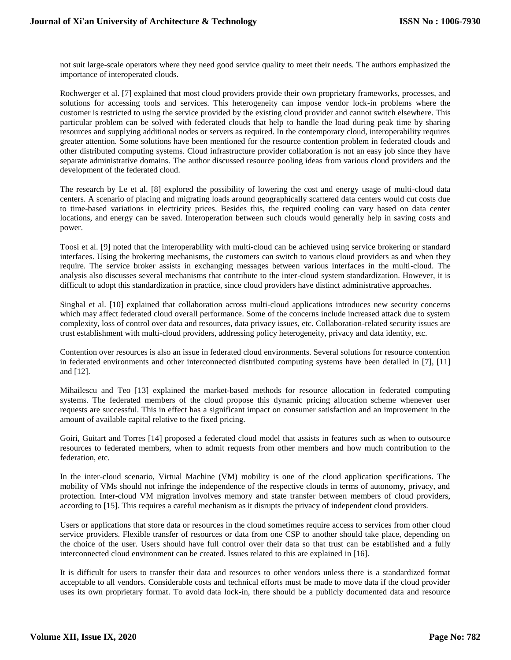not suit large-scale operators where they need good service quality to meet their needs. The authors emphasized the importance of interoperated clouds.

Rochwerger et al. [7] explained that most cloud providers provide their own proprietary frameworks, processes, and solutions for accessing tools and services. This heterogeneity can impose vendor lock-in problems where the customer is restricted to using the service provided by the existing cloud provider and cannot switch elsewhere. This particular problem can be solved with federated clouds that help to handle the load during peak time by sharing resources and supplying additional nodes or servers as required. In the contemporary cloud, interoperability requires greater attention. Some solutions have been mentioned for the resource contention problem in federated clouds and other distributed computing systems. Cloud infrastructure provider collaboration is not an easy job since they have separate administrative domains. The author discussed resource pooling ideas from various cloud providers and the development of the federated cloud.

The research by Le et al. [8] explored the possibility of lowering the cost and energy usage of multi-cloud data centers. A scenario of placing and migrating loads around geographically scattered data centers would cut costs due to time-based variations in electricity prices. Besides this, the required cooling can vary based on data center locations, and energy can be saved. Interoperation between such clouds would generally help in saving costs and power.

Toosi et al. [9] noted that the interoperability with multi-cloud can be achieved using service brokering or standard interfaces. Using the brokering mechanisms, the customers can switch to various cloud providers as and when they require. The service broker assists in exchanging messages between various interfaces in the multi-cloud. The analysis also discusses several mechanisms that contribute to the inter-cloud system standardization. However, it is difficult to adopt this standardization in practice, since cloud providers have distinct administrative approaches.

Singhal et al. [10] explained that collaboration across multi-cloud applications introduces new security concerns which may affect federated cloud overall performance. Some of the concerns include increased attack due to system complexity, loss of control over data and resources, data privacy issues, etc. Collaboration-related security issues are trust establishment with multi-cloud providers, addressing policy heterogeneity, privacy and data identity, etc.

Contention over resources is also an issue in federated cloud environments. Several solutions for resource contention in federated environments and other interconnected distributed computing systems have been detailed in [7], [11] and [12].

Mihailescu and Teo [13] explained the market-based methods for resource allocation in federated computing systems. The federated members of the cloud propose this dynamic pricing allocation scheme whenever user requests are successful. This in effect has a significant impact on consumer satisfaction and an improvement in the amount of available capital relative to the fixed pricing.

Goiri, Guitart and Torres [14] proposed a federated cloud model that assists in features such as when to outsource resources to federated members, when to admit requests from other members and how much contribution to the federation, etc.

In the inter-cloud scenario, Virtual Machine (VM) mobility is one of the cloud application specifications. The mobility of VMs should not infringe the independence of the respective clouds in terms of autonomy, privacy, and protection. Inter-cloud VM migration involves memory and state transfer between members of cloud providers, according to [15]. This requires a careful mechanism as it disrupts the privacy of independent cloud providers.

Users or applications that store data or resources in the cloud sometimes require access to services from other cloud service providers. Flexible transfer of resources or data from one CSP to another should take place, depending on the choice of the user. Users should have full control over their data so that trust can be established and a fully interconnected cloud environment can be created. Issues related to this are explained in [16].

It is difficult for users to transfer their data and resources to other vendors unless there is a standardized format acceptable to all vendors. Considerable costs and technical efforts must be made to move data if the cloud provider uses its own proprietary format. To avoid data lock-in, there should be a publicly documented data and resource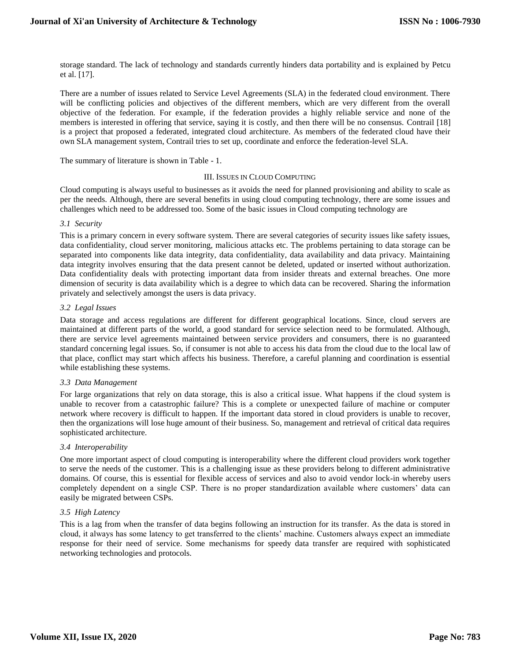storage standard. The lack of technology and standards currently hinders data portability and is explained by Petcu et al. [17].

There are a number of issues related to Service Level Agreements (SLA) in the federated cloud environment. There will be conflicting policies and objectives of the different members, which are very different from the overall objective of the federation. For example, if the federation provides a highly reliable service and none of the members is interested in offering that service, saying it is costly, and then there will be no consensus. Contrail [18] is a project that proposed a federated, integrated cloud architecture. As members of the federated cloud have their own SLA management system, Contrail tries to set up, coordinate and enforce the federation-level SLA.

The summary of literature is shown in Table - 1.

## III. ISSUES IN CLOUD COMPUTING

Cloud computing is always useful to businesses as it avoids the need for planned provisioning and ability to scale as per the needs. Although, there are several benefits in using cloud computing technology, there are some issues and challenges which need to be addressed too. Some of the basic issues in Cloud computing technology are

## *3.1 Security*

This is a primary concern in every software system. There are several categories of security issues like safety issues, data confidentiality, cloud server monitoring, malicious attacks etc. The problems pertaining to data storage can be separated into components like data integrity, data confidentiality, data availability and data privacy. Maintaining data integrity involves ensuring that the data present cannot be deleted, updated or inserted without authorization. Data confidentiality deals with protecting important data from insider threats and external breaches. One more dimension of security is data availability which is a degree to which data can be recovered. Sharing the information privately and selectively amongst the users is data privacy.

## *3.2 Legal Issues*

Data storage and access regulations are different for different geographical locations. Since, cloud servers are maintained at different parts of the world, a good standard for service selection need to be formulated. Although, there are service level agreements maintained between service providers and consumers, there is no guaranteed standard concerning legal issues. So, if consumer is not able to access his data from the cloud due to the local law of that place, conflict may start which affects his business. Therefore, a careful planning and coordination is essential while establishing these systems.

## *3.3 Data Management*

For large organizations that rely on data storage, this is also a critical issue. What happens if the cloud system is unable to recover from a catastrophic failure? This is a complete or unexpected failure of machine or computer network where recovery is difficult to happen. If the important data stored in cloud providers is unable to recover, then the organizations will lose huge amount of their business. So, management and retrieval of critical data requires sophisticated architecture.

# *3.4 Interoperability*

One more important aspect of cloud computing is interoperability where the different cloud providers work together to serve the needs of the customer. This is a challenging issue as these providers belong to different administrative domains. Of course, this is essential for flexible access of services and also to avoid vendor lock-in whereby users completely dependent on a single CSP. There is no proper standardization available where customers' data can easily be migrated between CSPs.

# *3.5 High Latency*

This is a lag from when the transfer of data begins following an instruction for its transfer. As the data is stored in cloud, it always has some latency to get transferred to the clients' machine. Customers always expect an immediate response for their need of service. Some mechanisms for speedy data transfer are required with sophisticated networking technologies and protocols.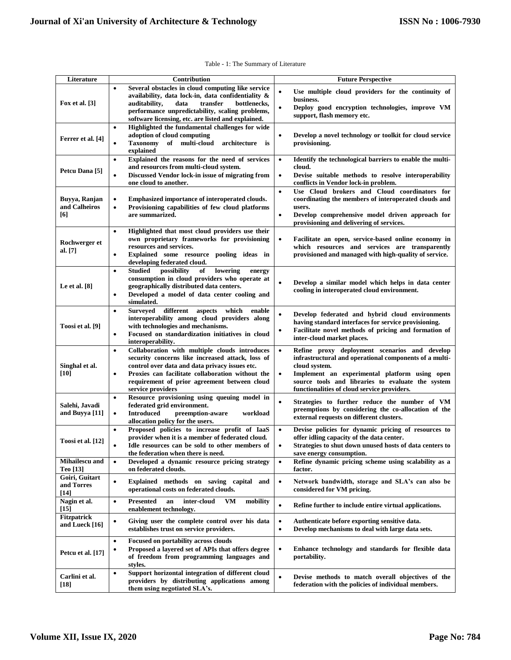| Literature                             | Contribution                                                                                                                                                                                                                                                                                   | <b>Future Perspective</b>                                                                                                                                                                                                                                                                               |
|----------------------------------------|------------------------------------------------------------------------------------------------------------------------------------------------------------------------------------------------------------------------------------------------------------------------------------------------|---------------------------------------------------------------------------------------------------------------------------------------------------------------------------------------------------------------------------------------------------------------------------------------------------------|
| <b>Fox et al.</b> [3]                  | Several obstacles in cloud computing like service<br>availability, data lock-in, data confidentiality &<br>$\,$ transfer<br>auditability,<br>data<br>bottlenecks,<br>performance unpredictability, scaling problems,<br>software licensing, etc. are listed and explained.                     | Use multiple cloud providers for the continuity of<br>$\bullet$<br>business.<br>Deploy good encryption technologies, improve VM<br>$\bullet$<br>support, flash memory etc.                                                                                                                              |
| Ferrer et al. [4]                      | Highlighted the fundamental challenges for wide<br>$\bullet$<br>adoption of cloud computing<br><b>Taxonomy</b><br>of multi-cloud architecture is<br>$\bullet$<br>explained                                                                                                                     | Develop a novel technology or toolkit for cloud service<br>$\bullet$<br>provisioning.                                                                                                                                                                                                                   |
| Petcu Dana [5]                         | Explained the reasons for the need of services<br>$\bullet$<br>and resources from multi-cloud system.<br>Discussed Vendor lock-in issue of migrating from<br>$\bullet$<br>one cloud to another.                                                                                                | Identify the technological barriers to enable the multi-<br>$\bullet$<br>cloud.<br>Devise suitable methods to resolve interoperability<br>$\bullet$<br>conflicts in Vendor lock-in problem.                                                                                                             |
| Buyya, Ranjan<br>and Calheiros<br>[6]  | Emphasized importance of interoperated clouds.<br>$\bullet$<br>Provisioning capabilities of few cloud platforms<br>$\bullet$<br>are summarized.                                                                                                                                                | Use Cloud brokers and Cloud coordinators for<br>$\bullet$<br>coordinating the members of interoperated clouds and<br>users.<br>Develop comprehensive model driven approach for<br>$\bullet$<br>provisioning and delivering of services.                                                                 |
| Rochwerger et<br>al. [7]               | Highlighted that most cloud providers use their<br>$\bullet$<br>own proprietary frameworks for provisioning<br>resources and services.<br>Explained some resource pooling ideas in<br>$\bullet$<br>developing federated cloud.                                                                 | Facilitate an open, service-based online economy in<br>$\bullet$<br>which resources and services are transparently<br>provisioned and managed with high-quality of service.                                                                                                                             |
| Le et al. $[8]$                        | <b>Studied</b><br>possibility<br>of<br>lowering<br>energy<br>$\bullet$<br>consumption in cloud providers who operate at<br>geographically distributed data centers.<br>Developed a model of data center cooling and<br>$\bullet$<br>simulated.                                                 | Develop a similar model which helps in data center<br>$\bullet$<br>cooling in interoperated cloud environment.                                                                                                                                                                                          |
| Toosi et al. [9]                       | <b>Surveyed</b><br>different<br>aspects<br>which<br>enable<br>$\bullet$<br>interoperability among cloud providers along<br>with technologies and mechanisms.<br>Focused on standardization initiatives in cloud<br>$\bullet$<br>interoperability.                                              | $\bullet$<br>Develop federated and hybrid cloud environments<br>having standard interfaces for service provisioning.<br>Facilitate novel methods of pricing and formation of<br>٠<br>inter-cloud market places.                                                                                         |
| Singhal et al.<br>[10]                 | Collaboration with multiple clouds introduces<br>٠<br>security concerns like increased attack, loss of<br>control over data and data privacy issues etc.<br>Proxies can facilitate collaboration without the<br>$\bullet$<br>requirement of prior agreement between cloud<br>service providers | Refine proxy deployment scenarios and develop<br>$\bullet$<br>infrastructural and operational components of a multi-<br>cloud system.<br>$\bullet$<br>Implement an experimental platform using open<br>source tools and libraries to evaluate the system<br>functionalities of cloud service providers. |
| Salehi, Javadi<br>and Buyya [11]       | Resource provisioning using queuing model in<br>٠<br>federated grid environment.<br><b>Introduced</b><br>preemption-aware<br>workload<br>$\bullet$<br>allocation policy for the users.                                                                                                         | Strategies to further reduce the number of VM<br>$\bullet$<br>preemptions by considering the co-allocation of the<br>external requests on different clusters.                                                                                                                                           |
| Toosi et al. [12]                      | Proposed policies to increase profit of IaaS<br>$\bullet$<br>provider when it is a member of federated cloud.<br>Idle resources can be sold to other members of<br>$\bullet$<br>the federation when there is need.                                                                             | $\bullet$<br>Devise policies for dynamic pricing of resources to<br>offer idling capacity of the data center.<br>Strategies to shut down unused hosts of data centers to<br>$\bullet$<br>save energy consumption.                                                                                       |
| Mihailescu and<br>Teo [13]             | Developed a dynamic resource pricing strategy<br>$\bullet$<br>on federated clouds.                                                                                                                                                                                                             | Refine dynamic pricing scheme using scalability as a<br>$\bullet$<br>factor.                                                                                                                                                                                                                            |
| Goiri, Guitart<br>and Torres<br>$[14]$ | Explained methods on saving capital and<br>$\bullet$<br>operational costs on federated clouds.                                                                                                                                                                                                 | Network bandwidth, storage and SLA's can also be<br>$\bullet$<br>considered for VM pricing.                                                                                                                                                                                                             |
| Nagin et al.<br>$[15]$                 | <b>Presented</b><br>inter-cloud<br>VM<br>mobility<br>an<br>$\bullet$<br>enablement technology.                                                                                                                                                                                                 | $\bullet$<br>Refine further to include entire virtual applications.                                                                                                                                                                                                                                     |
| <b>Fitzpatrick</b><br>and Lueck [16]   | Giving user the complete control over his data<br>٠<br>establishes trust on service providers.                                                                                                                                                                                                 | Authenticate before exporting sensitive data.<br>$\bullet$<br>Develop mechanisms to deal with large data sets.<br>$\bullet$                                                                                                                                                                             |
| Petcu et al. [17]                      | Focused on portability across clouds<br>$\bullet$<br>Proposed a layered set of APIs that offers degree<br>$\bullet$<br>of freedom from programming languages and<br>styles.                                                                                                                    | Enhance technology and standards for flexible data<br>$\bullet$<br>portability.                                                                                                                                                                                                                         |
| Carlini et al.<br>$[18]$               | Support horizontal integration of different cloud<br>$\bullet$<br>providers by distributing applications among<br>them using negotiated SLA's.                                                                                                                                                 | Devise methods to match overall objectives of the<br>$\bullet$<br>federation with the policies of individual members.                                                                                                                                                                                   |

## Table - 1: The Summary of Literature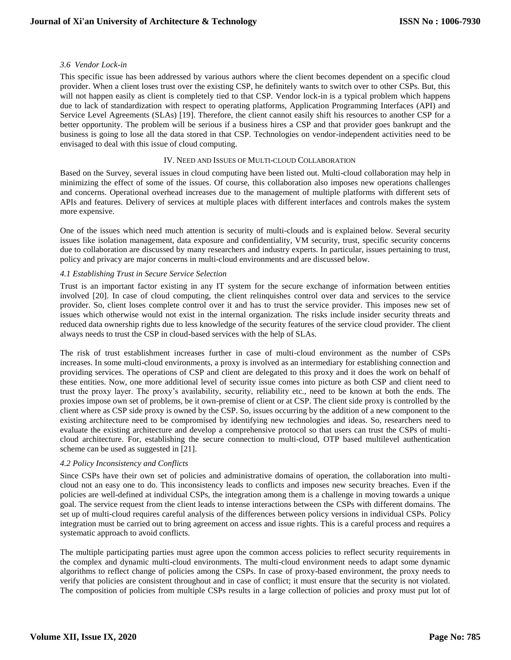## *3.6 Vendor Lock-in*

This specific issue has been addressed by various authors where the client becomes dependent on a specific cloud provider. When a client loses trust over the existing CSP, he definitely wants to switch over to other CSPs. But, this will not happen easily as client is completely tied to that CSP. Vendor lock-in is a typical problem which happens due to lack of standardization with respect to operating platforms, Application Programming Interfaces (API) and Service Level Agreements (SLAs) [19]. Therefore, the client cannot easily shift his resources to another CSP for a better opportunity. The problem will be serious if a business hires a CSP and that provider goes bankrupt and the business is going to lose all the data stored in that CSP. Technologies on vendor-independent activities need to be envisaged to deal with this issue of cloud computing.

## IV. NEED AND ISSUES OF MULTI-CLOUD COLLABORATION

Based on the Survey, several issues in cloud computing have been listed out. Multi-cloud collaboration may help in minimizing the effect of some of the issues. Of course, this collaboration also imposes new operations challenges and concerns. Operational overhead increases due to the management of multiple platforms with different sets of APIs and features. Delivery of services at multiple places with different interfaces and controls makes the system more expensive.

One of the issues which need much attention is security of multi-clouds and is explained below. Several security issues like isolation management, data exposure and confidentiality, VM security, trust, specific security concerns due to collaboration are discussed by many researchers and industry experts. In particular, issues pertaining to trust, policy and privacy are major concerns in multi-cloud environments and are discussed below.

## *4.1 Establishing Trust in Secure Service Selection*

Trust is an important factor existing in any IT system for the secure exchange of information between entities involved [20]. In case of cloud computing, the client relinquishes control over data and services to the service provider. So, client loses complete control over it and has to trust the service provider. This imposes new set of issues which otherwise would not exist in the internal organization. The risks include insider security threats and reduced data ownership rights due to less knowledge of the security features of the service cloud provider. The client always needs to trust the CSP in cloud-based services with the help of SLAs.

The risk of trust establishment increases further in case of multi-cloud environment as the number of CSPs increases. In some multi-cloud environments, a proxy is involved as an intermediary for establishing connection and providing services. The operations of CSP and client are delegated to this proxy and it does the work on behalf of these entities. Now, one more additional level of security issue comes into picture as both CSP and client need to trust the proxy layer. The proxy's availability, security, reliability etc., need to be known at both the ends. The proxies impose own set of problems, be it own-premise of client or at CSP. The client side proxy is controlled by the client where as CSP side proxy is owned by the CSP. So, issues occurring by the addition of a new component to the existing architecture need to be compromised by identifying new technologies and ideas. So, researchers need to evaluate the existing architecture and develop a comprehensive protocol so that users can trust the CSPs of multicloud architecture. For, establishing the secure connection to multi-cloud, OTP based multilevel authentication scheme can be used as suggested in [21].

# *4.2 Policy Inconsistency and Conflicts*

Since CSPs have their own set of policies and administrative domains of operation, the collaboration into multicloud not an easy one to do. This inconsistency leads to conflicts and imposes new security breaches. Even if the policies are well-defined at individual CSPs, the integration among them is a challenge in moving towards a unique goal. The service request from the client leads to intense interactions between the CSPs with different domains. The set up of multi-cloud requires careful analysis of the differences between policy versions in individual CSPs. Policy integration must be carried out to bring agreement on access and issue rights. This is a careful process and requires a systematic approach to avoid conflicts.

The multiple participating parties must agree upon the common access policies to reflect security requirements in the complex and dynamic multi-cloud environments. The multi-cloud environment needs to adapt some dynamic algorithms to reflect change of policies among the CSPs. In case of proxy-based environment, the proxy needs to verify that policies are consistent throughout and in case of conflict; it must ensure that the security is not violated. The composition of policies from multiple CSPs results in a large collection of policies and proxy must put lot of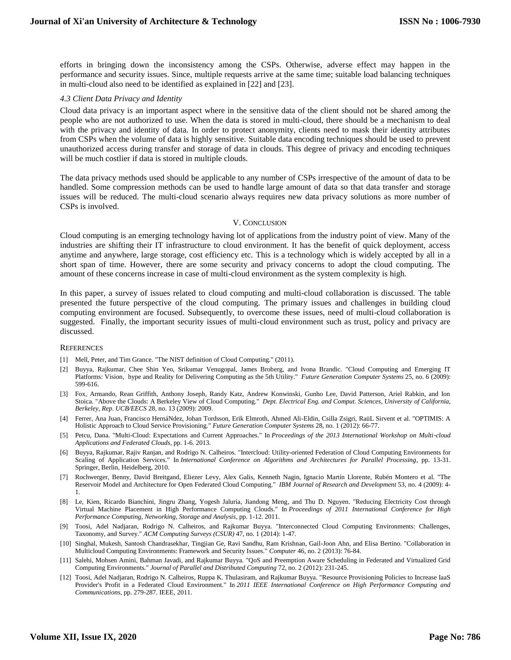efforts in bringing down the inconsistency among the CSPs. Otherwise, adverse effect may happen in the performance and security issues. Since, multiple requests arrive at the same time; suitable load balancing techniques in multi-cloud also need to be identified as explained in [22] and [23].

#### *4.3 Client Data Privacy and Identity*

Cloud data privacy is an important aspect where in the sensitive data of the client should not be shared among the people who are not authorized to use. When the data is stored in multi-cloud, there should be a mechanism to deal with the privacy and identity of data. In order to protect anonymity, clients need to mask their identity attributes from CSPs when the volume of data is highly sensitive. Suitable data encoding techniques should be used to prevent unauthorized access during transfer and storage of data in clouds. This degree of privacy and encoding techniques will be much costlier if data is stored in multiple clouds.

The data privacy methods used should be applicable to any number of CSPs irrespective of the amount of data to be handled. Some compression methods can be used to handle large amount of data so that data transfer and storage issues will be reduced. The multi-cloud scenario always requires new data privacy solutions as more number of CSPs is involved.

#### V. CONCLUSION

Cloud computing is an emerging technology having lot of applications from the industry point of view. Many of the industries are shifting their IT infrastructure to cloud environment. It has the benefit of quick deployment, access anytime and anywhere, large storage, cost efficiency etc. This is a technology which is widely accepted by all in a short span of time. However, there are some security and privacy concerns to adopt the cloud computing. The amount of these concerns increase in case of multi-cloud environment as the system complexity is high.

In this paper, a survey of issues related to cloud computing and multi-cloud collaboration is discussed. The table presented the future perspective of the cloud computing. The primary issues and challenges in building cloud computing environment are focused. Subsequently, to overcome these issues, need of multi-cloud collaboration is suggested. Finally, the important security issues of multi-cloud environment such as trust, policy and privacy are discussed.

#### **REFERENCES**

- [1] Mell, Peter, and Tim Grance. "The NIST definition of Cloud Computing." (2011).
- [2] Buyya, Rajkumar, Chee Shin Yeo, Srikumar Venugopal, James Broberg, and Ivona Brandic. "Cloud Computing and Emerging IT Platforms: Vision, hype and Reality for Delivering Computing as the 5th Utility." *Future Generation Computer Systems* 25, no. 6 (2009): 599-616.
- [3] Fox, Armando, Rean Griffith, Anthony Joseph, Randy Katz, Andrew Konwinski, Gunho Lee, David Patterson, Ariel Rabkin, and Ion Stoica. "Above the Clouds: A Berkeley View of Cloud Computing." *Dept. Electrical Eng. and Comput. Sciences, University of California, Berkeley, Rep. UCB/EECS* 28, no. 13 (2009): 2009.
- [4] Ferrer, Ana Juan, Francisco HernáNdez, Johan Tordsson, Erik Elmroth, Ahmed Ali-Eldin, Csilla Zsigri, RaüL Sirvent et al. "OPTIMIS: A Holistic Approach to Cloud Service Provisioning." *Future Generation Computer Systems* 28, no. 1 (2012): 66-77.
- [5] Petcu, Dana. "Multi-Cloud: Expectations and Current Approaches." In *Proceedings of the 2013 International Workshop on Multi-cloud Applications and Federated Clouds*, pp. 1-6. 2013.
- [6] Buyya, Rajkumar, Rajiv Ranjan, and Rodrigo N. Calheiros. "Intercloud: Utility-oriented Federation of Cloud Computing Environments for Scaling of Application Services." In *International Conference on Algorithms and Architectures for Parallel Processing*, pp. 13-31. Springer, Berlin, Heidelberg, 2010.
- [7] Rochwerger, Benny, David Breitgand, Eliezer Levy, Alex Galis, Kenneth Nagin, Ignacio Martín Llorente, Rubén Montero et al. "The Reservoir Model and Architecture for Open Federated Cloud Computing." *IBM Journal of Research and Development* 53, no. 4 (2009): 4- 1.
- [8] Le, Kien, Ricardo Bianchini, Jingru Zhang, Yogesh Jaluria, Jiandong Meng, and Thu D. Nguyen. "Reducing Electricity Cost through Virtual Machine Placement in High Performance Computing Clouds." In *Proceedings of 2011 International Conference for High Performance Computing, Networking, Storage and Analysis*, pp. 1-12. 2011.
- [9] Toosi, Adel Nadjaran, Rodrigo N. Calheiros, and Rajkumar Buyya. "Interconnected Cloud Computing Environments: Challenges, Taxonomy, and Survey." *ACM Computing Surveys (CSUR)* 47, no. 1 (2014): 1-47.
- [10] Singhal, Mukesh, Santosh Chandrasekhar, Tingjian Ge, Ravi Sandhu, Ram Krishnan, Gail-Joon Ahn, and Elisa Bertino. "Collaboration in Multicloud Computing Environments: Framework and Security Issues." *Computer* 46, no. 2 (2013): 76-84.
- [11] Salehi, Mohsen Amini, Bahman Javadi, and Rajkumar Buyya. "QoS and Preemption Aware Scheduling in Federated and Virtualized Grid Computing Environments." *Journal of Parallel and Distributed Computing* 72, no. 2 (2012): 231-245.
- [12] Toosi, Adel Nadjaran, Rodrigo N. Calheiros, Ruppa K. Thulasiram, and Rajkumar Buyya. "Resource Provisioning Policies to Increase IaaS Provider's Profit in a Federated Cloud Environment." In *2011 IEEE International Conference on High Performance Computing and Communications*, pp. 279-287. IEEE, 2011.